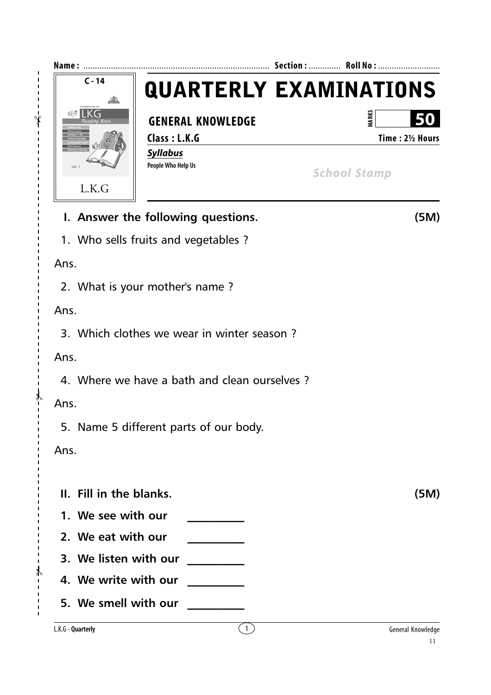

 $\gamma$ 

✃

 $-\frac{2}{3}$ 

 $\overline{1}$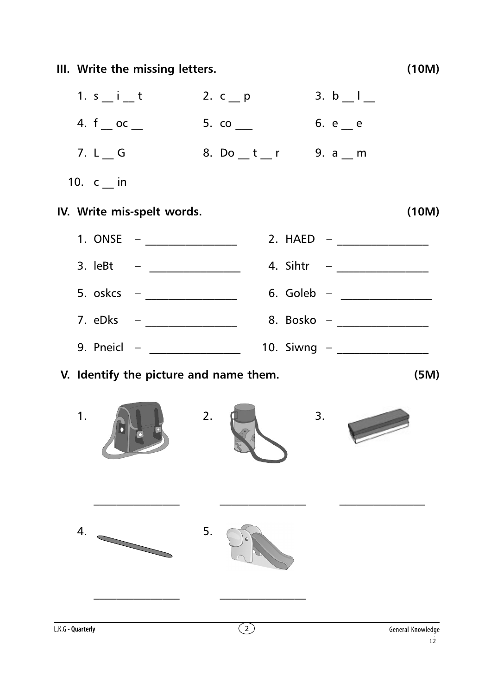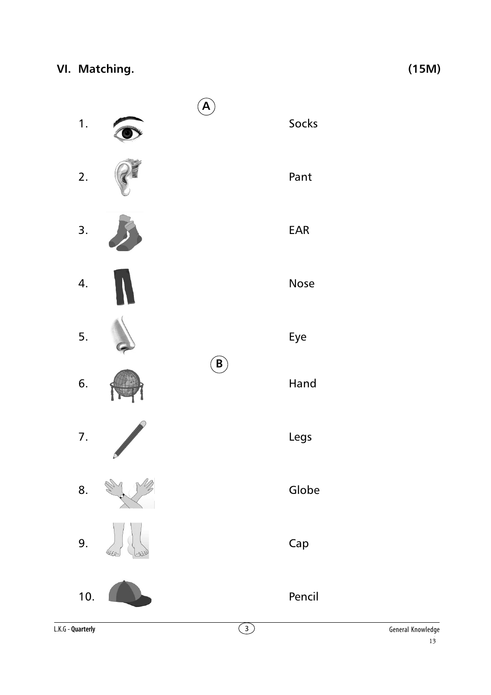